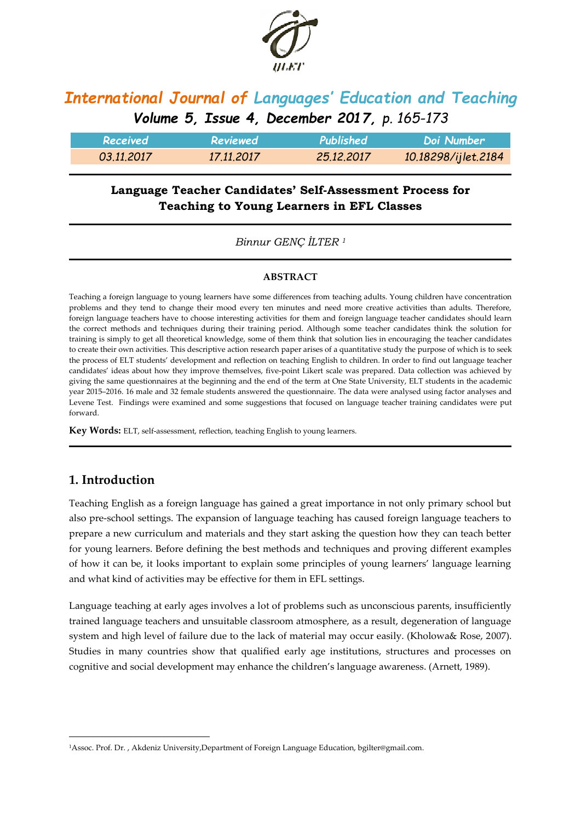

# *International Journal of Languages' Education and Teaching Volume 5, Issue 4, December 2017, p. 165-173*

| Received   | Reviewed   | Published  | ' Doi Number i      |
|------------|------------|------------|---------------------|
| 03.11.2017 | 17.11.2017 | 25.12.2017 | 10.18298/ijlet.2184 |

# **Language Teacher Candidates' Self-Assessment Process for Teaching to Young Learners in EFL Classes**

*Binnur GENÇ İLTER <sup>1</sup>*

### **ABSTRACT**

Teaching a foreign language to young learners have some differences from teaching adults. Young children have concentration problems and they tend to change their mood every ten minutes and need more creative activities than adults. Therefore, foreign language teachers have to choose interesting activities for them and foreign language teacher candidates should learn the correct methods and techniques during their training period. Although some teacher candidates think the solution for training is simply to get all theoretical knowledge, some of them think that solution lies in encouraging the teacher candidates to create their own activities. This descriptive action research paper arises of a quantitative study the purpose of which is to seek the process of ELT students' development and reflection on teaching English to children. In order to find out language teacher candidates' ideas about how they improve themselves, five-point Likert scale was prepared. Data collection was achieved by giving the same questionnaires at the beginning and the end of the term at One State University, ELT students in the academic year 2015–2016. 16 male and 32 female students answered the questionnaire. The data were analysed using factor analyses and Levene Test. Findings were examined and some suggestions that focused on language teacher training candidates were put forward.

**Key Words:** ELT, self-assessment, reflection, teaching English to young learners.

## **1. Introduction**

1

Teaching English as a foreign language has gained a great importance in not only primary school but also pre-school settings. The expansion of language teaching has caused foreign language teachers to prepare a new curriculum and materials and they start asking the question how they can teach better for young learners. Before defining the best methods and techniques and proving different examples of how it can be, it looks important to explain some principles of young learners' language learning and what kind of activities may be effective for them in EFL settings.

Language teaching at early ages involves a lot of problems such as unconscious parents, insufficiently trained language teachers and unsuitable classroom atmosphere, as a result, degeneration of language system and high level of failure due to the lack of material may occur easily. (Kholowa& Rose, 2007). Studies in many countries show that qualified early age institutions, structures and processes on cognitive and social development may enhance the children's language awareness. (Arnett, 1989).

<sup>1</sup>Assoc. Prof. Dr. , Akdeniz University,Department of Foreign Language Education, bgilter@gmail.com.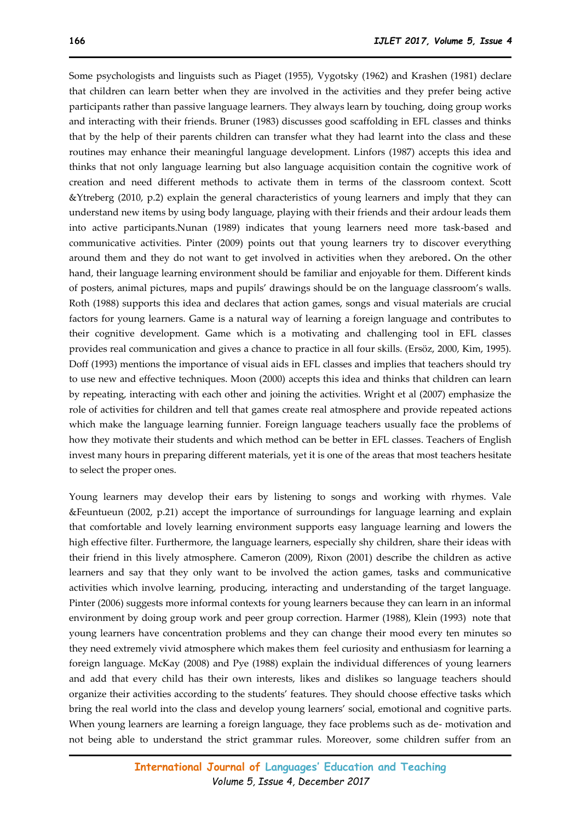Some psychologists and linguists such as Piaget (1955), Vygotsky (1962) and Krashen (1981) declare that children can learn better when they are involved in the activities and they prefer being active participants rather than passive language learners. They always learn by touching, doing group works and interacting with their friends. Bruner (1983) discusses good scaffolding in EFL classes and thinks that by the help of their parents children can transfer what they had learnt into the class and these routines may enhance their meaningful language development. Linfors (1987) accepts this idea and thinks that not only language learning but also language acquisition contain the cognitive work of creation and need different methods to activate them in terms of the classroom context. Scott &Ytreberg (2010, p.2) explain the general characteristics of young learners and imply that they can understand new items by using body language, playing with their friends and their ardour leads them into active participants.Nunan (1989) indicates that young learners need more task-based and communicative activities. Pinter (2009) points out that young learners try to discover everything around them and they do not want to get involved in activities when they arebored**.** On the other hand, their language learning environment should be familiar and enjoyable for them. Different kinds of posters, animal pictures, maps and pupils' drawings should be on the language classroom's walls. Roth (1988) supports this idea and declares that action games, songs and visual materials are crucial factors for young learners. Game is a natural way of learning a foreign language and contributes to their cognitive development. Game which is a motivating and challenging tool in EFL classes provides real communication and gives a chance to practice in all four skills. (Ersöz, 2000, Kim, 1995). Doff (1993) mentions the importance of visual aids in EFL classes and implies that teachers should try to use new and effective techniques. Moon (2000) accepts this idea and thinks that children can learn by repeating, interacting with each other and joining the activities. Wright et al (2007) emphasize the role of activities for children and tell that games create real atmosphere and provide repeated actions which make the language learning funnier. Foreign language teachers usually face the problems of how they motivate their students and which method can be better in EFL classes. Teachers of English invest many hours in preparing different materials, yet it is one of the areas that most teachers hesitate to select the proper ones.

Young learners may develop their ears by listening to songs and working with rhymes. Vale &Feuntueun (2002, p.21) accept the importance of surroundings for language learning and explain that comfortable and lovely learning environment supports easy language learning and lowers the high effective filter. Furthermore, the language learners, especially shy children, share their ideas with their friend in this lively atmosphere. Cameron (2009), Rixon (2001) describe the children as active learners and say that they only want to be involved the action games, tasks and communicative activities which involve learning, producing, interacting and understanding of the target language. Pinter (2006) suggests more informal contexts for young learners because they can learn in an informal environment by doing group work and peer group correction. Harmer (1988), Klein (1993) note that young learners have concentration problems and they can change their mood every ten minutes so they need extremely vivid atmosphere which makes them feel curiosity and enthusiasm for learning a foreign language. McKay (2008) and Pye (1988) explain the individual differences of young learners and add that every child has their own interests, likes and dislikes so language teachers should organize their activities according to the students' features. They should choose effective tasks which bring the real world into the class and develop young learners' social, emotional and cognitive parts. When young learners are learning a foreign language, they face problems such as de- motivation and not being able to understand the strict grammar rules. Moreover, some children suffer from an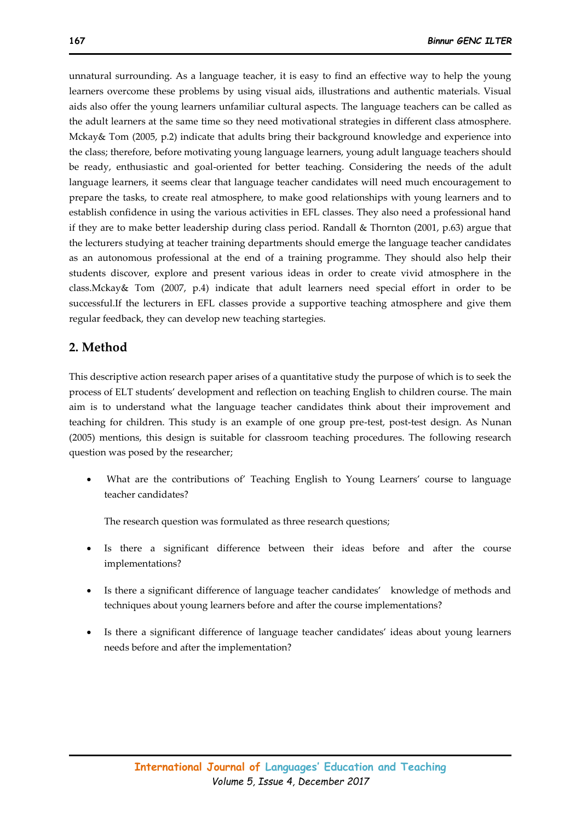unnatural surrounding. As a language teacher, it is easy to find an effective way to help the young learners overcome these problems by using visual aids, illustrations and authentic materials. Visual aids also offer the young learners unfamiliar cultural aspects. The language teachers can be called as the adult learners at the same time so they need motivational strategies in different class atmosphere. Mckay& Tom (2005, p.2) indicate that adults bring their background knowledge and experience into the class; therefore, before motivating young language learners, young adult language teachers should be ready, enthusiastic and goal-oriented for better teaching. Considering the needs of the adult language learners, it seems clear that language teacher candidates will need much encouragement to prepare the tasks, to create real atmosphere, to make good relationships with young learners and to establish confidence in using the various activities in EFL classes. They also need a professional hand if they are to make better leadership during class period. Randall & Thornton (2001, p.63) argue that the lecturers studying at teacher training departments should emerge the language teacher candidates as an autonomous professional at the end of a training programme. They should also help their students discover, explore and present various ideas in order to create vivid atmosphere in the class.Mckay& Tom (2007, p.4) indicate that adult learners need special effort in order to be successful.If the lecturers in EFL classes provide a supportive teaching atmosphere and give them regular feedback, they can develop new teaching startegies.

### **2. Method**

This descriptive action research paper arises of a quantitative study the purpose of which is to seek the process of ELT students' development and reflection on teaching English to children course. The main aim is to understand what the language teacher candidates think about their improvement and teaching for children. This study is an example of one group pre-test, post-test design. As Nunan (2005) mentions, this design is suitable for classroom teaching procedures. The following research question was posed by the researcher;

What are the contributions of Teaching English to Young Learners' course to language teacher candidates?

The research question was formulated as three research questions;

- Is there a significant difference between their ideas before and after the course implementations?
- Is there a significant difference of language teacher candidates' knowledge of methods and techniques about young learners before and after the course implementations?
- Is there a significant difference of language teacher candidates' ideas about young learners needs before and after the implementation?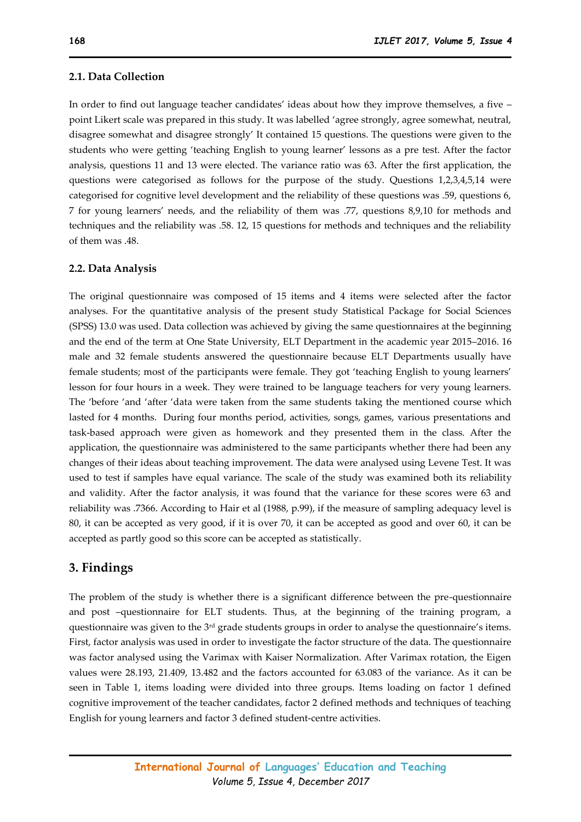#### **2.1. Data Collection**

In order to find out language teacher candidates' ideas about how they improve themselves, a five – point Likert scale was prepared in this study. It was labelled 'agree strongly, agree somewhat, neutral, disagree somewhat and disagree strongly' It contained 15 questions. The questions were given to the students who were getting 'teaching English to young learner' lessons as a pre test. After the factor analysis, questions 11 and 13 were elected. The variance ratio was 63. After the first application, the questions were categorised as follows for the purpose of the study. Questions 1,2,3,4,5,14 were categorised for cognitive level development and the reliability of these questions was .59, questions 6, 7 for young learners' needs, and the reliability of them was .77, questions 8,9,10 for methods and techniques and the reliability was .58. 12, 15 questions for methods and techniques and the reliability of them was .48.

#### **2.2. Data Analysis**

The original questionnaire was composed of 15 items and 4 items were selected after the factor analyses. For the quantitative analysis of the present study Statistical Package for Social Sciences (SPSS) 13.0 was used. Data collection was achieved by giving the same questionnaires at the beginning and the end of the term at One State University, ELT Department in the academic year 2015–2016. 16 male and 32 female students answered the questionnaire because ELT Departments usually have female students; most of the participants were female. They got 'teaching English to young learners' lesson for four hours in a week. They were trained to be language teachers for very young learners. The 'before 'and 'after 'data were taken from the same students taking the mentioned course which lasted for 4 months. During four months period, activities, songs, games, various presentations and task-based approach were given as homework and they presented them in the class. After the application, the questionnaire was administered to the same participants whether there had been any changes of their ideas about teaching improvement. The data were analysed using Levene Test. It was used to test if samples have equal variance. The scale of the study was examined both its reliability and validity. After the factor analysis, it was found that the variance for these scores were 63 and reliability was .7366. According to Hair et al (1988, p.99), if the measure of sampling adequacy level is 80, it can be accepted as very good, if it is over 70, it can be accepted as good and over 60, it can be accepted as partly good so this score can be accepted as statistically.

#### **3. Findings**

The problem of the study is whether there is a significant difference between the pre-questionnaire and post –questionnaire for ELT students. Thus, at the beginning of the training program, a questionnaire was given to the 3rd grade students groups in order to analyse the questionnaire's items. First, factor analysis was used in order to investigate the factor structure of the data. The questionnaire was factor analysed using the Varimax with Kaiser Normalization. After Varimax rotation, the Eigen values were 28.193, 21.409, 13.482 and the factors accounted for 63.083 of the variance. As it can be seen in Table 1, items loading were divided into three groups. Items loading on factor 1 defined cognitive improvement of the teacher candidates, factor 2 defined methods and techniques of teaching English for young learners and factor 3 defined student-centre activities.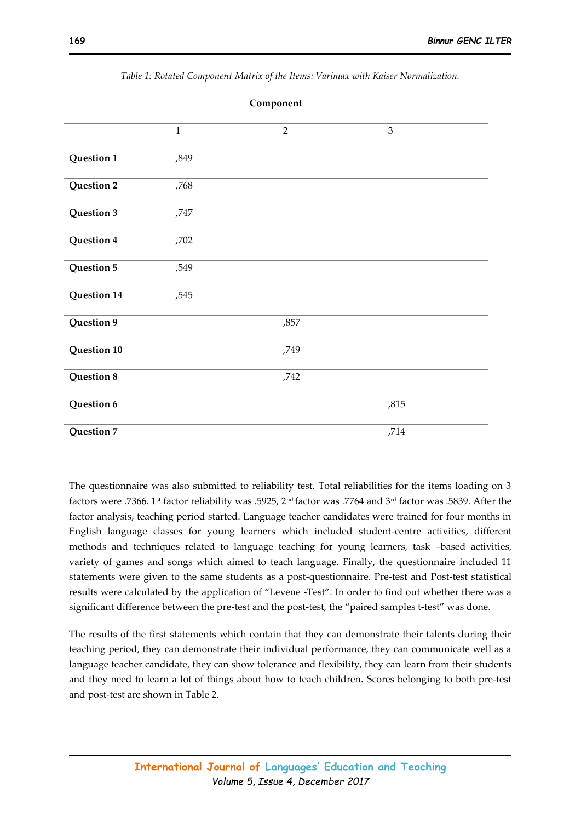| Component   |              |                |                |  |  |  |
|-------------|--------------|----------------|----------------|--|--|--|
|             | $\mathbf{1}$ | $\overline{2}$ | $\mathfrak{Z}$ |  |  |  |
| Question 1  | ,849         |                |                |  |  |  |
| Question 2  | ,768         |                |                |  |  |  |
| Question 3  | ,747         |                |                |  |  |  |
| Question 4  | ,702         |                |                |  |  |  |
| Question 5  | ,549         |                |                |  |  |  |
| Question 14 | ,545         |                |                |  |  |  |
| Question 9  |              | ,857           |                |  |  |  |
| Question 10 |              | ,749           |                |  |  |  |
| Question 8  |              | ,742           |                |  |  |  |
| Question 6  |              |                | ,815           |  |  |  |
| Question 7  |              |                | ,714           |  |  |  |

*Table 1: Rotated Component Matrix of the Items: Varimax with Kaiser Normalization.* 

The questionnaire was also submitted to reliability test. Total reliabilities for the items loading on 3 factors were .7366. 1st factor reliability was .5925, 2nd factor was .7764 and 3rd factor was .5839. After the factor analysis, teaching period started. Language teacher candidates were trained for four months in English language classes for young learners which included student-centre activities, different methods and techniques related to language teaching for young learners, task –based activities, variety of games and songs which aimed to teach language. Finally, the questionnaire included 11 statements were given to the same students as a post-questionnaire. Pre-test and Post-test statistical results were calculated by the application of "Levene -Test". In order to find out whether there was a significant difference between the pre-test and the post-test, the "paired samples t-test" was done.

The results of the first statements which contain that they can demonstrate their talents during their teaching period, they can demonstrate their individual performance, they can communicate well as a language teacher candidate, they can show tolerance and flexibility, they can learn from their students and they need to learn a lot of things about how to teach children**.** Scores belonging to both pre-test and post-test are shown in Table 2.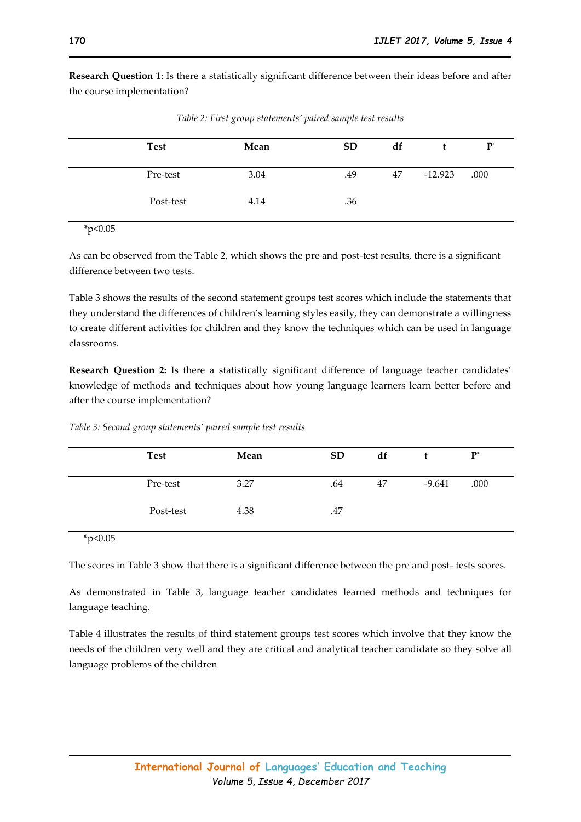**Research Question 1**: Is there a statistically significant difference between their ideas before and after the course implementation?

| <b>Test</b> | Mean | <b>SD</b> | df |           | $P^*$ |
|-------------|------|-----------|----|-----------|-------|
| Pre-test    | 3.04 | .49       | 47 | $-12.923$ | .000  |
| Post-test   | 4.14 | .36       |    |           |       |

*Table 2: First group statements' paired sample test results* 

 $*p<0.05$ 

As can be observed from the Table 2, which shows the pre and post-test results, there is a significant difference between two tests.

Table 3 shows the results of the second statement groups test scores which include the statements that they understand the differences of children's learning styles easily, they can demonstrate a willingness to create different activities for children and they know the techniques which can be used in language classrooms.

**Research Question 2:** Is there a statistically significant difference of language teacher candidates' knowledge of methods and techniques about how young language learners learn better before and after the course implementation?

| <b>Test</b> | Mean | <b>SD</b> | df |          | $P^*$ |
|-------------|------|-----------|----|----------|-------|
| Pre-test    | 3.27 | .64       | 47 | $-9.641$ | .000  |
| Post-test   | 4.38 | .47       |    |          |       |

*Table 3: Second group statements' paired sample test results* 

\*p<0.05

The scores in Table 3 show that there is a significant difference between the pre and post- tests scores.

As demonstrated in Table 3, language teacher candidates learned methods and techniques for language teaching.

Table 4 illustrates the results of third statement groups test scores which involve that they know the needs of the children very well and they are critical and analytical teacher candidate so they solve all language problems of the children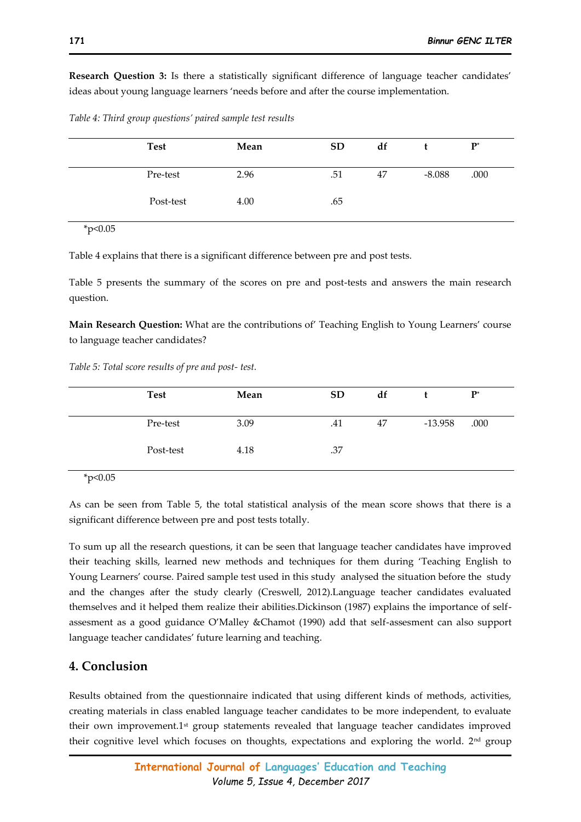**Research Question 3:** Is there a statistically significant difference of language teacher candidates' ideas about young language learners 'needs before and after the course implementation.

| Table 4: Third group questions' paired sample test results |  |
|------------------------------------------------------------|--|
|------------------------------------------------------------|--|

| <b>Test</b> | Mean | <b>SD</b> | df |          | ${\bf P}^*$ |
|-------------|------|-----------|----|----------|-------------|
| Pre-test    | 2.96 | .51       | 47 | $-8.088$ | .000        |
| Post-test   | 4.00 | .65       |    |          |             |

 $*_{p<0.05}$ 

Table 4 explains that there is a significant difference between pre and post tests.

Table 5 presents the summary of the scores on pre and post-tests and answers the main research question.

**Main Research Question:** What are the contributions of' Teaching English to Young Learners' course to language teacher candidates?

*Table 5: Total score results of pre and post- test.* 

| <b>Test</b> | Mean | <b>SD</b> | df |           | $P^*$ |
|-------------|------|-----------|----|-----------|-------|
| Pre-test    | 3.09 | .41       | 47 | $-13.958$ | .000  |
| Post-test   | 4.18 | .37       |    |           |       |
|             |      |           |    |           |       |

 $*p<0.05$ 

As can be seen from Table 5, the total statistical analysis of the mean score shows that there is a significant difference between pre and post tests totally.

To sum up all the research questions, it can be seen that language teacher candidates have improved their teaching skills, learned new methods and techniques for them during 'Teaching English to Young Learners' course. Paired sample test used in this study analysed the situation before the study and the changes after the study clearly (Creswell, 2012).Language teacher candidates evaluated themselves and it helped them realize their abilities.Dickinson (1987) explains the importance of selfassesment as a good guidance O'Malley &Chamot (1990) add that self-assesment can also support language teacher candidates' future learning and teaching.

## **4. Conclusion**

Results obtained from the questionnaire indicated that using different kinds of methods, activities, creating materials in class enabled language teacher candidates to be more independent, to evaluate their own improvement.1<sup>st</sup> group statements revealed that language teacher candidates improved their cognitive level which focuses on thoughts, expectations and exploring the world.  $2<sup>nd</sup>$  group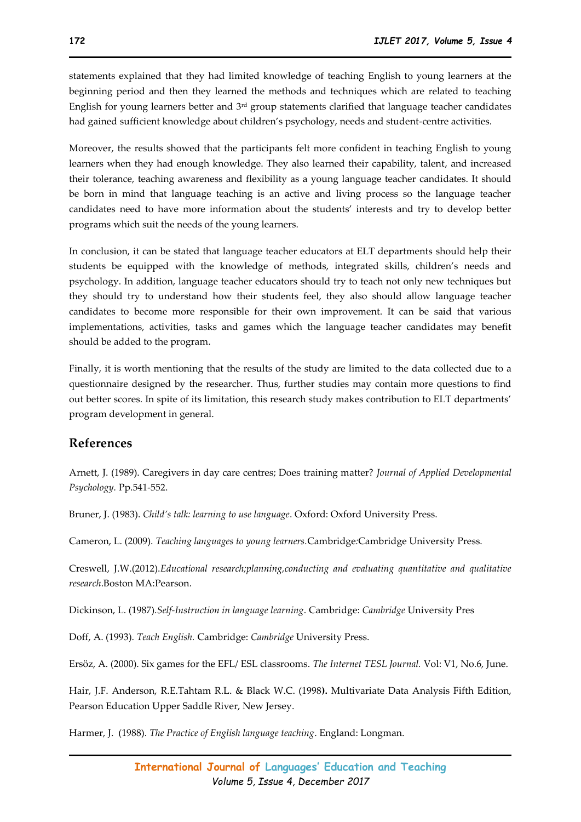statements explained that they had limited knowledge of teaching English to young learners at the beginning period and then they learned the methods and techniques which are related to teaching English for young learners better and 3rd group statements clarified that language teacher candidates had gained sufficient knowledge about children's psychology, needs and student-centre activities.

Moreover, the results showed that the participants felt more confident in teaching English to young learners when they had enough knowledge. They also learned their capability, talent, and increased their tolerance, teaching awareness and flexibility as a young language teacher candidates. It should be born in mind that language teaching is an active and living process so the language teacher candidates need to have more information about the students' interests and try to develop better programs which suit the needs of the young learners.

In conclusion, it can be stated that language teacher educators at ELT departments should help their students be equipped with the knowledge of methods, integrated skills, children's needs and psychology. In addition, language teacher educators should try to teach not only new techniques but they should try to understand how their students feel, they also should allow language teacher candidates to become more responsible for their own improvement. It can be said that various implementations, activities, tasks and games which the language teacher candidates may benefit should be added to the program.

Finally, it is worth mentioning that the results of the study are limited to the data collected due to a questionnaire designed by the researcher. Thus, further studies may contain more questions to find out better scores. In spite of its limitation, this research study makes contribution to ELT departments' program development in general.

## **References**

Arnett, J. (1989). Caregivers in day care centres; Does training matter? *Journal of Applied Developmental Psychology.* Pp.541-552.

Bruner, J. (1983). *Child's talk: learning to use language*. Oxford: Oxford University Press.

Cameron, L. (2009). *Teaching languages to young learners.*Cambridge*:*Cambridge University Press.

Creswell, J.W.(2012).*Educational research;planning,conducting and evaluating quantitative and qualitative research*.Boston MA:Pearson.

Dickinson, L. (1987).*Self-Instruction in language learning*. Cambridge: *Cambridge* University Pres

Doff, A. (1993). *Teach English.* Cambridge: *Cambridge* University Press.

Ersöz, A. (2000). Six games for the EFL/ ESL classrooms. *The Internet TESL Journal.* Vol: V1, No.6, June.

Hair, J.F. Anderson, R.E.Tahtam R.L. & Black W.C. (1998**).** Multivariate Data Analysis Fifth Edition, Pearson Education Upper Saddle River, New Jersey.

Harmer, J. (1988). *The Practice of English language teaching*. England: Longman.